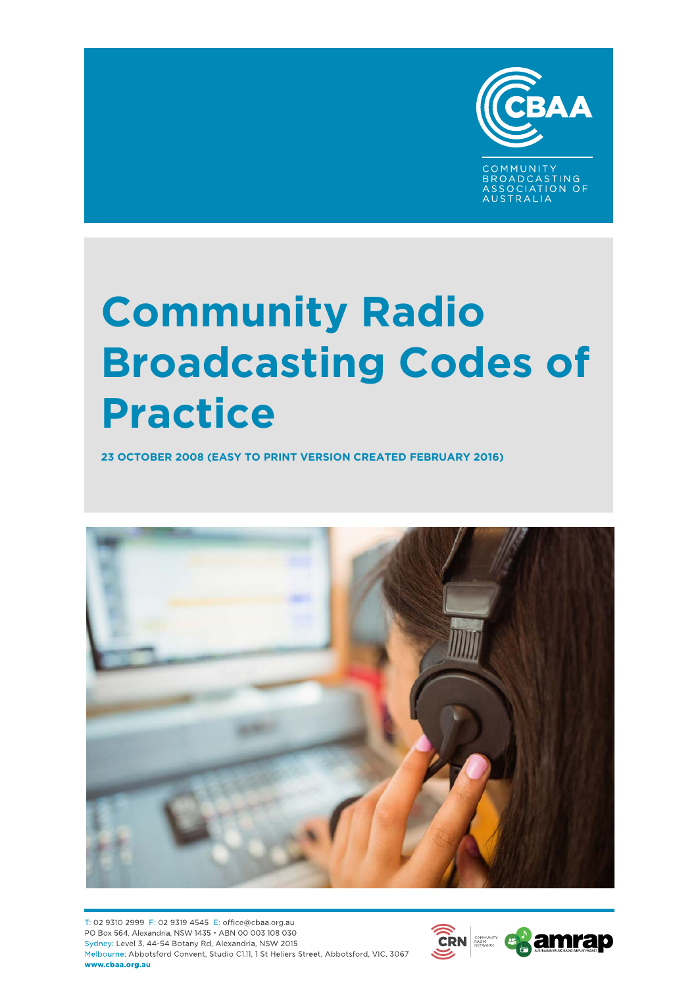

COMMUNITY<br>BROADCASTING<br>ASSOCIATION OF **TRAILA** 

# **Community Radio Broadcasting Codes of Practice**

**23 OCTOBER 2008 (EASY TO PRINT VERSION CREATED FEBRUARY 2016)**



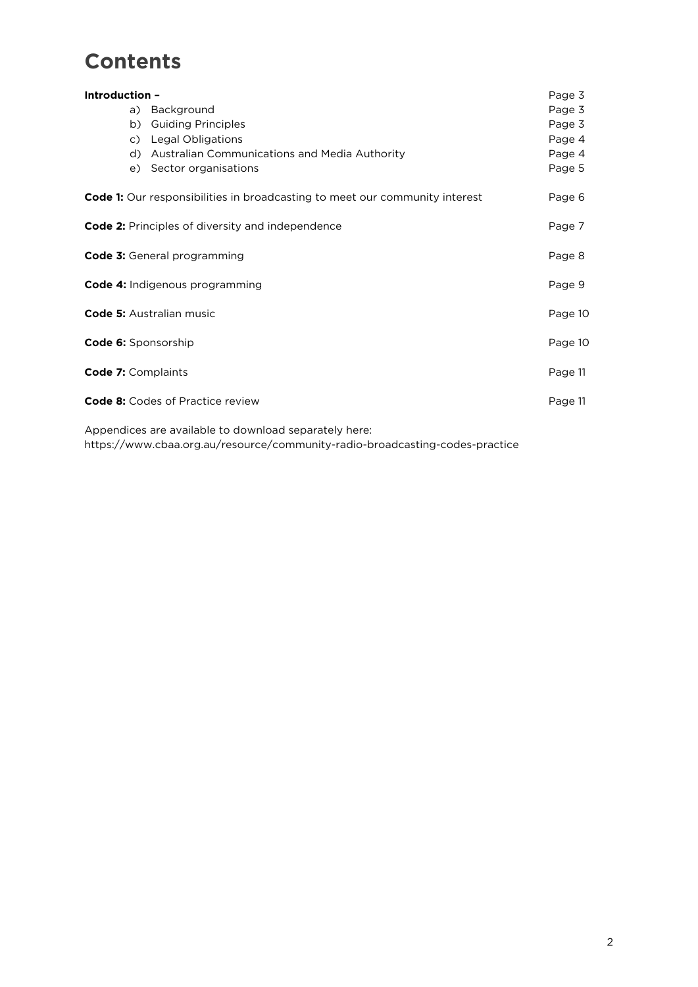# **Contents**

| Introduction - |                                                                                    | Page 3  |
|----------------|------------------------------------------------------------------------------------|---------|
|                | Background<br>a)                                                                   | Page 3  |
|                | b)<br><b>Guiding Principles</b>                                                    | Page 3  |
|                | c) Legal Obligations                                                               | Page 4  |
|                | d) Australian Communications and Media Authority                                   | Page 4  |
|                | e) Sector organisations                                                            | Page 5  |
|                | <b>Code 1:</b> Our responsibilities in broadcasting to meet our community interest | Page 6  |
|                | Code 2: Principles of diversity and independence                                   | Page 7  |
|                | <b>Code 3:</b> General programming                                                 | Page 8  |
|                | <b>Code 4: Indigenous programming</b>                                              | Page 9  |
|                | <b>Code 5:</b> Australian music                                                    | Page 10 |
|                | <b>Code 6:</b> Sponsorship                                                         | Page 10 |
|                | Code 7: Complaints                                                                 | Page 11 |
|                | <b>Code 8:</b> Codes of Practice review                                            | Page 11 |
|                |                                                                                    |         |

Appendices are available to download separately here:

https://www.cbaa.org.au/resource/community-radio-broadcasting-codes-practice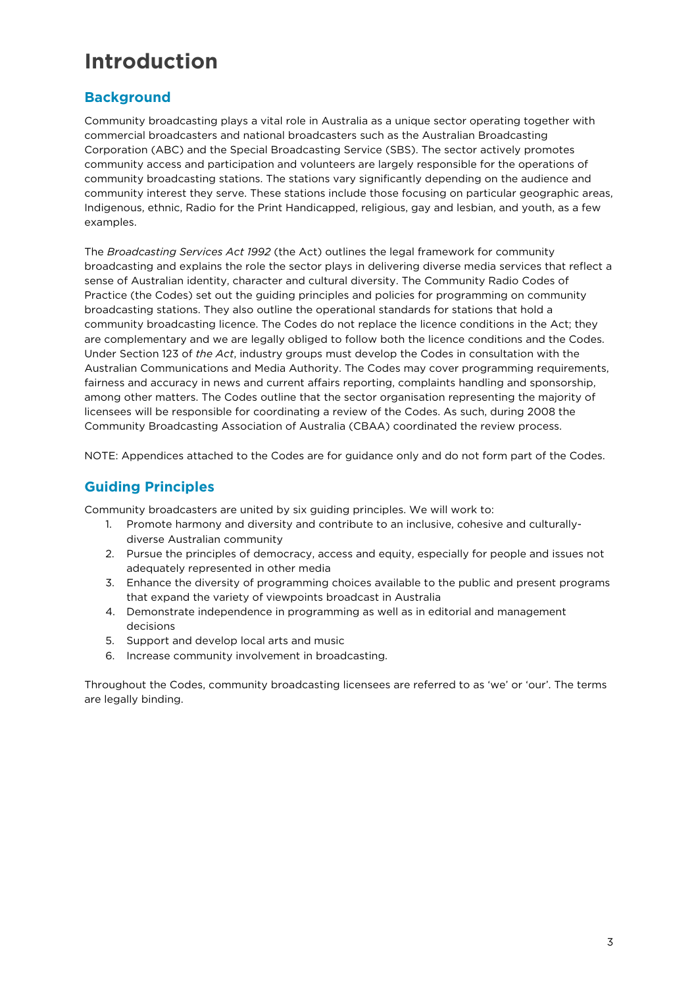# **Introduction**

## **Background**

Community broadcasting plays a vital role in Australia as a unique sector operating together with commercial broadcasters and national broadcasters such as the Australian Broadcasting Corporation (ABC) and the Special Broadcasting Service (SBS). The sector actively promotes community access and participation and volunteers are largely responsible for the operations of community broadcasting stations. The stations vary significantly depending on the audience and community interest they serve. These stations include those focusing on particular geographic areas, Indigenous, ethnic, Radio for the Print Handicapped, religious, gay and lesbian, and youth, as a few examples.

The *Broadcasting Services Act 1992* (the Act) outlines the legal framework for community broadcasting and explains the role the sector plays in delivering diverse media services that reflect a sense of Australian identity, character and cultural diversity. The Community Radio Codes of Practice (the Codes) set out the guiding principles and policies for programming on community broadcasting stations. They also outline the operational standards for stations that hold a community broadcasting licence. The Codes do not replace the licence conditions in the Act; they are complementary and we are legally obliged to follow both the licence conditions and the Codes. Under Section 123 of *the Act*, industry groups must develop the Codes in consultation with the Australian Communications and Media Authority. The Codes may cover programming requirements, fairness and accuracy in news and current affairs reporting, complaints handling and sponsorship, among other matters. The Codes outline that the sector organisation representing the majority of licensees will be responsible for coordinating a review of the Codes. As such, during 2008 the Community Broadcasting Association of Australia (CBAA) coordinated the review process.

NOTE: Appendices attached to the Codes are for guidance only and do not form part of the Codes.

## **Guiding Principles**

Community broadcasters are united by six guiding principles. We will work to:

- 1. Promote harmony and diversity and contribute to an inclusive, cohesive and culturallydiverse Australian community
- 2. Pursue the principles of democracy, access and equity, especially for people and issues not adequately represented in other media
- 3. Enhance the diversity of programming choices available to the public and present programs that expand the variety of viewpoints broadcast in Australia
- 4. Demonstrate independence in programming as well as in editorial and management decisions
- 5. Support and develop local arts and music
- 6. Increase community involvement in broadcasting.

Throughout the Codes, community broadcasting licensees are referred to as 'we' or 'our'. The terms are legally binding.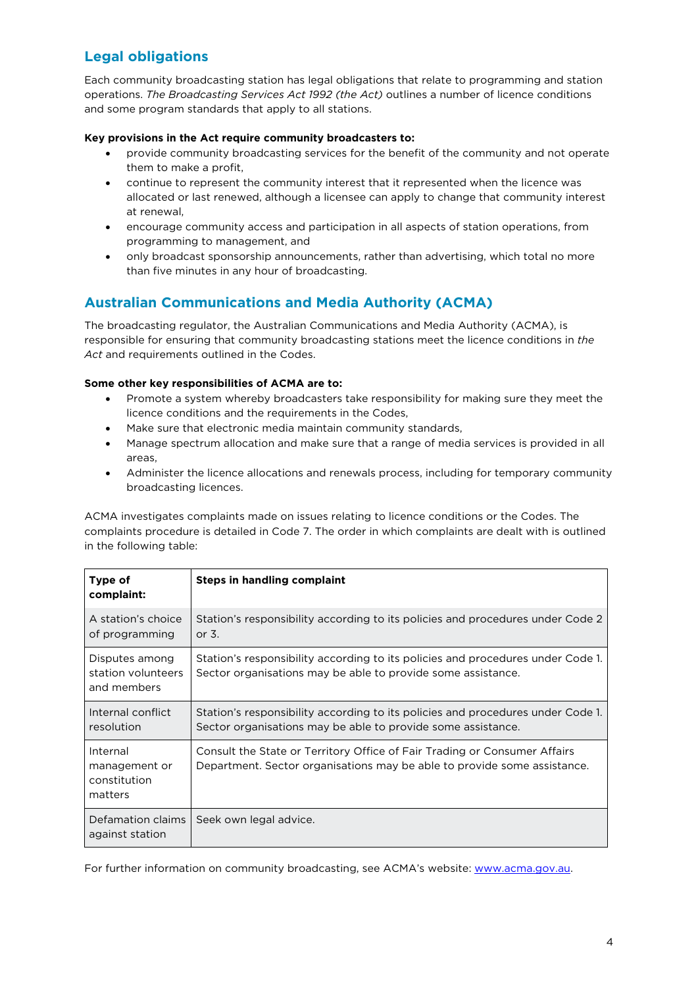# **Legal obligations**

Each community broadcasting station has legal obligations that relate to programming and station operations. *The Broadcasting Services Act 1992 (the Act)* outlines a number of licence conditions and some program standards that apply to all stations.

#### **Key provisions in the Act require community broadcasters to:**

- provide community broadcasting services for the benefit of the community and not operate them to make a profit,
- continue to represent the community interest that it represented when the licence was allocated or last renewed, although a licensee can apply to change that community interest at renewal,
- encourage community access and participation in all aspects of station operations, from programming to management, and
- only broadcast sponsorship announcements, rather than advertising, which total no more than five minutes in any hour of broadcasting.

## **Australian Communications and Media Authority (ACMA)**

The broadcasting regulator, the Australian Communications and Media Authority (ACMA), is responsible for ensuring that community broadcasting stations meet the licence conditions in *the Act* and requirements outlined in the Codes.

#### **Some other key responsibilities of ACMA are to:**

- Promote a system whereby broadcasters take responsibility for making sure they meet the licence conditions and the requirements in the Codes,
- Make sure that electronic media maintain community standards,
- Manage spectrum allocation and make sure that a range of media services is provided in all areas,
- Administer the licence allocations and renewals process, including for temporary community broadcasting licences.

ACMA investigates complaints made on issues relating to licence conditions or the Codes. The complaints procedure is detailed in Code 7. The order in which complaints are dealt with is outlined in the following table:

| Type of<br>complaint:                                | Steps in handling complaint                                                                                                                           |
|------------------------------------------------------|-------------------------------------------------------------------------------------------------------------------------------------------------------|
| A station's choice<br>of programming                 | Station's responsibility according to its policies and procedures under Code 2<br>or $3$ .                                                            |
| Disputes among<br>station volunteers<br>and members  | Station's responsibility according to its policies and procedures under Code 1.<br>Sector organisations may be able to provide some assistance.       |
| Internal conflict<br>resolution                      | Station's responsibility according to its policies and procedures under Code 1.<br>Sector organisations may be able to provide some assistance.       |
| Internal<br>management or<br>constitution<br>matters | Consult the State or Territory Office of Fair Trading or Consumer Affairs<br>Department. Sector organisations may be able to provide some assistance. |
| Defamation claims<br>against station                 | Seek own legal advice.                                                                                                                                |

For further information on community broadcasting, see ACMA's website: [www.acma.gov.au.](http://www.acma.gov.au/)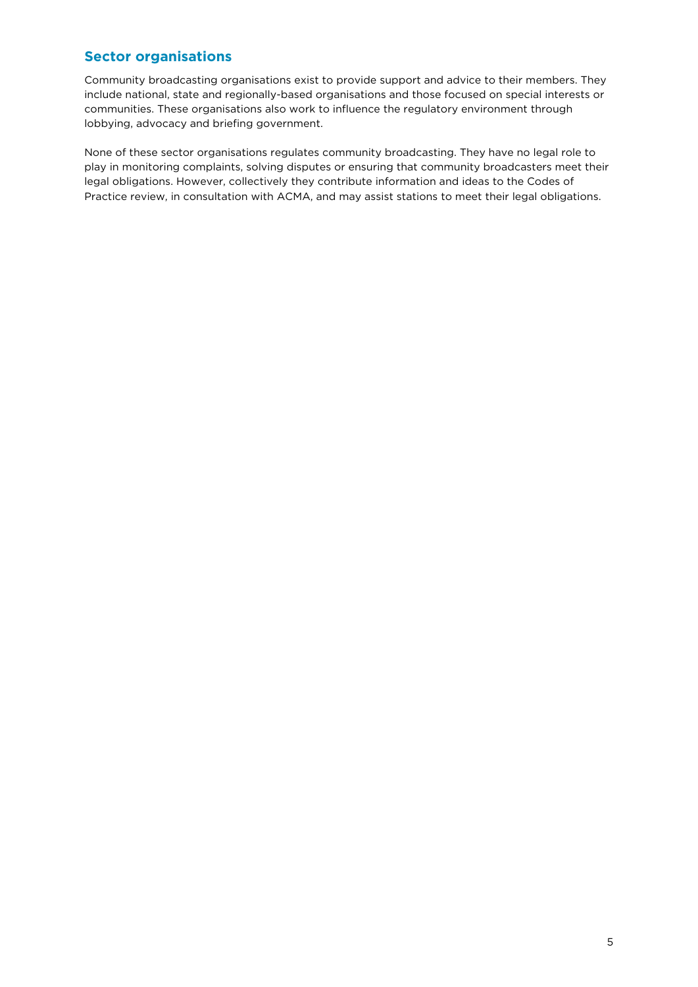### **Sector organisations**

Community broadcasting organisations exist to provide support and advice to their members. They include national, state and regionally-based organisations and those focused on special interests or communities. These organisations also work to influence the regulatory environment through lobbying, advocacy and briefing government.

None of these sector organisations regulates community broadcasting. They have no legal role to play in monitoring complaints, solving disputes or ensuring that community broadcasters meet their legal obligations. However, collectively they contribute information and ideas to the Codes of Practice review, in consultation with ACMA, and may assist stations to meet their legal obligations.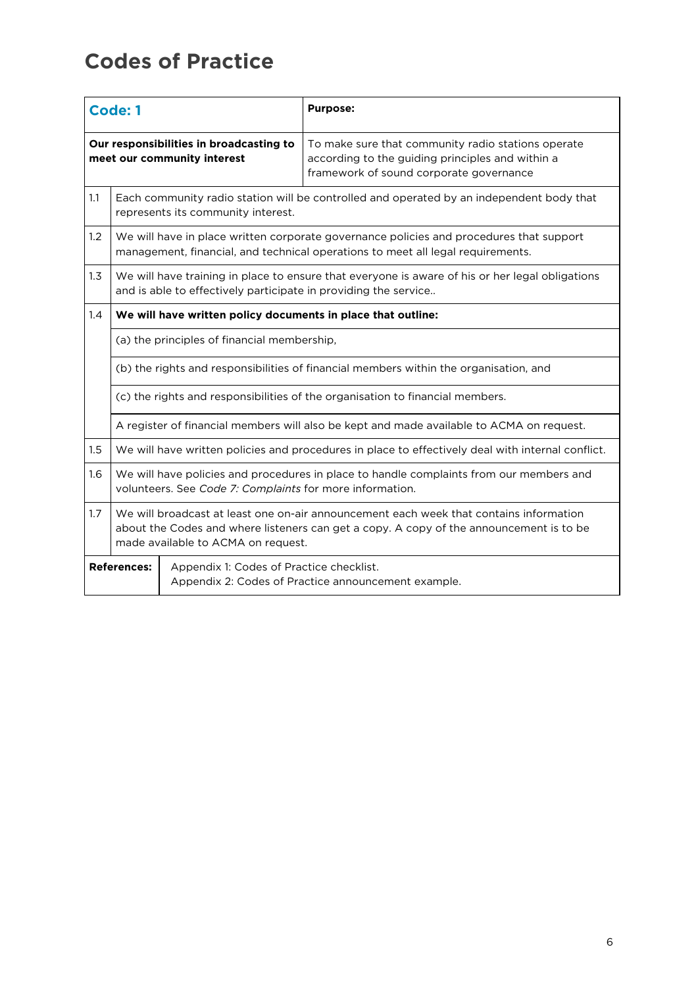# **Codes of Practice**

| Code: 1                                                                |                                                                                                                                                                                                                         |                                                              | <b>Purpose:</b>                                                                                                                                                            |
|------------------------------------------------------------------------|-------------------------------------------------------------------------------------------------------------------------------------------------------------------------------------------------------------------------|--------------------------------------------------------------|----------------------------------------------------------------------------------------------------------------------------------------------------------------------------|
| Our responsibilities in broadcasting to<br>meet our community interest |                                                                                                                                                                                                                         |                                                              | To make sure that community radio stations operate<br>according to the guiding principles and within a<br>framework of sound corporate governance                          |
| 1.1                                                                    |                                                                                                                                                                                                                         | represents its community interest.                           | Each community radio station will be controlled and operated by an independent body that                                                                                   |
| 1.2                                                                    |                                                                                                                                                                                                                         |                                                              | We will have in place written corporate governance policies and procedures that support<br>management, financial, and technical operations to meet all legal requirements. |
| 1.3                                                                    | We will have training in place to ensure that everyone is aware of his or her legal obligations<br>and is able to effectively participate in providing the service                                                      |                                                              |                                                                                                                                                                            |
| 1.4                                                                    |                                                                                                                                                                                                                         | We will have written policy documents in place that outline: |                                                                                                                                                                            |
|                                                                        |                                                                                                                                                                                                                         | (a) the principles of financial membership,                  |                                                                                                                                                                            |
|                                                                        | (b) the rights and responsibilities of financial members within the organisation, and                                                                                                                                   |                                                              |                                                                                                                                                                            |
|                                                                        |                                                                                                                                                                                                                         |                                                              | (c) the rights and responsibilities of the organisation to financial members.                                                                                              |
|                                                                        |                                                                                                                                                                                                                         |                                                              | A register of financial members will also be kept and made available to ACMA on request.                                                                                   |
| 1.5                                                                    |                                                                                                                                                                                                                         |                                                              | We will have written policies and procedures in place to effectively deal with internal conflict.                                                                          |
| 1.6                                                                    | We will have policies and procedures in place to handle complaints from our members and<br>volunteers. See Code 7: Complaints for more information.                                                                     |                                                              |                                                                                                                                                                            |
| 1.7                                                                    | We will broadcast at least one on-air announcement each week that contains information<br>about the Codes and where listeners can get a copy. A copy of the announcement is to be<br>made available to ACMA on request. |                                                              |                                                                                                                                                                            |
| <b>References:</b><br>Appendix 1: Codes of Practice checklist.         |                                                                                                                                                                                                                         |                                                              | Appendix 2: Codes of Practice announcement example.                                                                                                                        |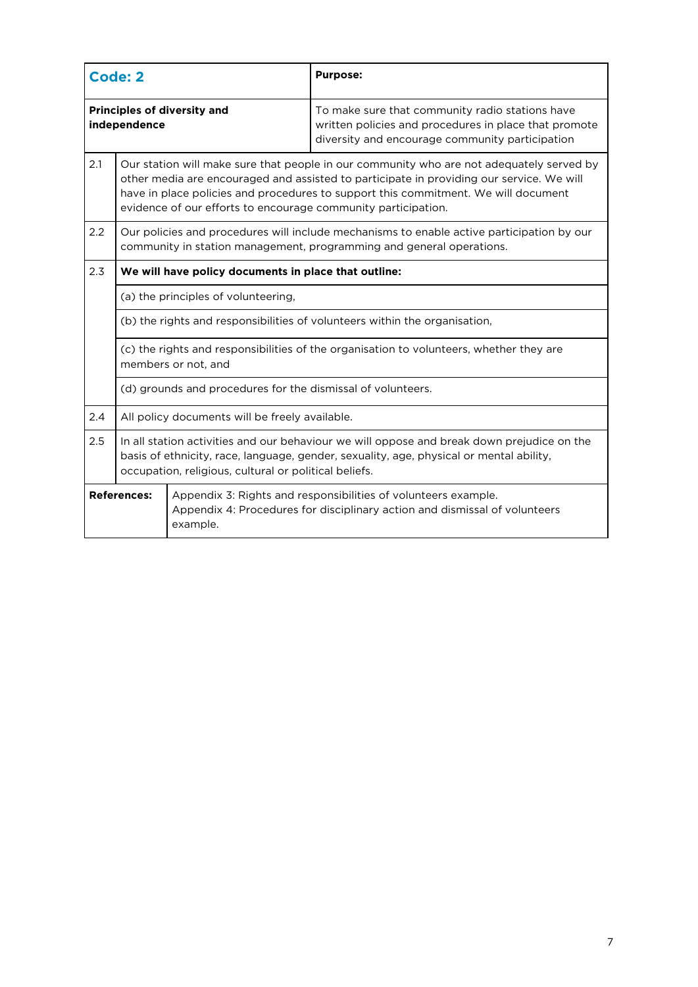| <b>Code: 2</b>                                              |                                                                                                                                                                                                                                                |                                                                                                                                                                                                                                                                                                                                             | <b>Purpose:</b>                                                                                                                                                   |
|-------------------------------------------------------------|------------------------------------------------------------------------------------------------------------------------------------------------------------------------------------------------------------------------------------------------|---------------------------------------------------------------------------------------------------------------------------------------------------------------------------------------------------------------------------------------------------------------------------------------------------------------------------------------------|-------------------------------------------------------------------------------------------------------------------------------------------------------------------|
| <b>Principles of diversity and</b><br>independence          |                                                                                                                                                                                                                                                |                                                                                                                                                                                                                                                                                                                                             | To make sure that community radio stations have<br>written policies and procedures in place that promote<br>diversity and encourage community participation       |
| 2.1                                                         |                                                                                                                                                                                                                                                | Our station will make sure that people in our community who are not adequately served by<br>other media are encouraged and assisted to participate in providing our service. We will<br>have in place policies and procedures to support this commitment. We will document<br>evidence of our efforts to encourage community participation. |                                                                                                                                                                   |
| 2.2                                                         |                                                                                                                                                                                                                                                |                                                                                                                                                                                                                                                                                                                                             | Our policies and procedures will include mechanisms to enable active participation by our<br>community in station management, programming and general operations. |
| 2.3                                                         |                                                                                                                                                                                                                                                | We will have policy documents in place that outline:                                                                                                                                                                                                                                                                                        |                                                                                                                                                                   |
| (a) the principles of volunteering,                         |                                                                                                                                                                                                                                                |                                                                                                                                                                                                                                                                                                                                             |                                                                                                                                                                   |
|                                                             | (b) the rights and responsibilities of volunteers within the organisation,                                                                                                                                                                     |                                                                                                                                                                                                                                                                                                                                             |                                                                                                                                                                   |
|                                                             | (c) the rights and responsibilities of the organisation to volunteers, whether they are<br>members or not, and                                                                                                                                 |                                                                                                                                                                                                                                                                                                                                             |                                                                                                                                                                   |
| (d) grounds and procedures for the dismissal of volunteers. |                                                                                                                                                                                                                                                |                                                                                                                                                                                                                                                                                                                                             |                                                                                                                                                                   |
| 2.4                                                         | All policy documents will be freely available.                                                                                                                                                                                                 |                                                                                                                                                                                                                                                                                                                                             |                                                                                                                                                                   |
| 2.5                                                         | In all station activities and our behaviour we will oppose and break down prejudice on the<br>basis of ethnicity, race, language, gender, sexuality, age, physical or mental ability,<br>occupation, religious, cultural or political beliefs. |                                                                                                                                                                                                                                                                                                                                             |                                                                                                                                                                   |
| <b>References:</b><br>example.                              |                                                                                                                                                                                                                                                |                                                                                                                                                                                                                                                                                                                                             | Appendix 3: Rights and responsibilities of volunteers example.<br>Appendix 4: Procedures for disciplinary action and dismissal of volunteers                      |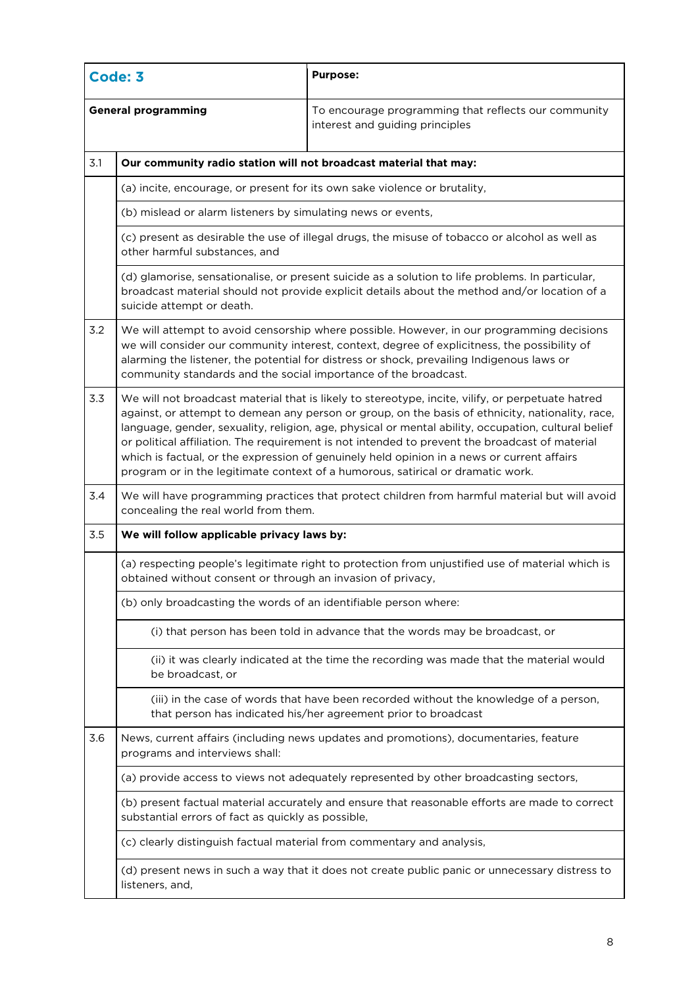| Code: 3                    |                                                                                                                                                                                                                                                                                                                                                                                                                                                                                                                                                                                                 | <b>Purpose:</b>                                                                                                                                                                                  |  |  |
|----------------------------|-------------------------------------------------------------------------------------------------------------------------------------------------------------------------------------------------------------------------------------------------------------------------------------------------------------------------------------------------------------------------------------------------------------------------------------------------------------------------------------------------------------------------------------------------------------------------------------------------|--------------------------------------------------------------------------------------------------------------------------------------------------------------------------------------------------|--|--|
| <b>General programming</b> |                                                                                                                                                                                                                                                                                                                                                                                                                                                                                                                                                                                                 | To encourage programming that reflects our community<br>interest and guiding principles                                                                                                          |  |  |
| 3.1                        | Our community radio station will not broadcast material that may:                                                                                                                                                                                                                                                                                                                                                                                                                                                                                                                               |                                                                                                                                                                                                  |  |  |
|                            | (a) incite, encourage, or present for its own sake violence or brutality,                                                                                                                                                                                                                                                                                                                                                                                                                                                                                                                       |                                                                                                                                                                                                  |  |  |
|                            | (b) mislead or alarm listeners by simulating news or events,                                                                                                                                                                                                                                                                                                                                                                                                                                                                                                                                    |                                                                                                                                                                                                  |  |  |
|                            | (c) present as desirable the use of illegal drugs, the misuse of tobacco or alcohol as well as<br>other harmful substances, and                                                                                                                                                                                                                                                                                                                                                                                                                                                                 |                                                                                                                                                                                                  |  |  |
|                            | suicide attempt or death.                                                                                                                                                                                                                                                                                                                                                                                                                                                                                                                                                                       | (d) glamorise, sensationalise, or present suicide as a solution to life problems. In particular,<br>broadcast material should not provide explicit details about the method and/or location of a |  |  |
| 3.2                        | We will attempt to avoid censorship where possible. However, in our programming decisions<br>we will consider our community interest, context, degree of explicitness, the possibility of<br>alarming the listener, the potential for distress or shock, prevailing Indigenous laws or<br>community standards and the social importance of the broadcast.                                                                                                                                                                                                                                       |                                                                                                                                                                                                  |  |  |
| 3.3                        | We will not broadcast material that is likely to stereotype, incite, vilify, or perpetuate hatred<br>against, or attempt to demean any person or group, on the basis of ethnicity, nationality, race,<br>language, gender, sexuality, religion, age, physical or mental ability, occupation, cultural belief<br>or political affiliation. The requirement is not intended to prevent the broadcast of material<br>which is factual, or the expression of genuinely held opinion in a news or current affairs<br>program or in the legitimate context of a humorous, satirical or dramatic work. |                                                                                                                                                                                                  |  |  |
| 3.4                        | We will have programming practices that protect children from harmful material but will avoid<br>concealing the real world from them.                                                                                                                                                                                                                                                                                                                                                                                                                                                           |                                                                                                                                                                                                  |  |  |
| 3.5                        | We will follow applicable privacy laws by:                                                                                                                                                                                                                                                                                                                                                                                                                                                                                                                                                      |                                                                                                                                                                                                  |  |  |
|                            | (a) respecting people's legitimate right to protection from unjustified use of material which is<br>obtained without consent or through an invasion of privacy,                                                                                                                                                                                                                                                                                                                                                                                                                                 |                                                                                                                                                                                                  |  |  |
|                            | (b) only broadcasting the words of an identifiable person where:                                                                                                                                                                                                                                                                                                                                                                                                                                                                                                                                |                                                                                                                                                                                                  |  |  |
|                            |                                                                                                                                                                                                                                                                                                                                                                                                                                                                                                                                                                                                 | (i) that person has been told in advance that the words may be broadcast, or                                                                                                                     |  |  |
|                            | (ii) it was clearly indicated at the time the recording was made that the material would<br>be broadcast, or                                                                                                                                                                                                                                                                                                                                                                                                                                                                                    |                                                                                                                                                                                                  |  |  |
|                            |                                                                                                                                                                                                                                                                                                                                                                                                                                                                                                                                                                                                 | (iii) in the case of words that have been recorded without the knowledge of a person,<br>that person has indicated his/her agreement prior to broadcast                                          |  |  |
| 3.6                        | programs and interviews shall:                                                                                                                                                                                                                                                                                                                                                                                                                                                                                                                                                                  | News, current affairs (including news updates and promotions), documentaries, feature                                                                                                            |  |  |
|                            |                                                                                                                                                                                                                                                                                                                                                                                                                                                                                                                                                                                                 | (a) provide access to views not adequately represented by other broadcasting sectors,                                                                                                            |  |  |
|                            | substantial errors of fact as quickly as possible,                                                                                                                                                                                                                                                                                                                                                                                                                                                                                                                                              | (b) present factual material accurately and ensure that reasonable efforts are made to correct                                                                                                   |  |  |
|                            | (c) clearly distinguish factual material from commentary and analysis,                                                                                                                                                                                                                                                                                                                                                                                                                                                                                                                          |                                                                                                                                                                                                  |  |  |
|                            | (d) present news in such a way that it does not create public panic or unnecessary distress to<br>listeners, and,                                                                                                                                                                                                                                                                                                                                                                                                                                                                               |                                                                                                                                                                                                  |  |  |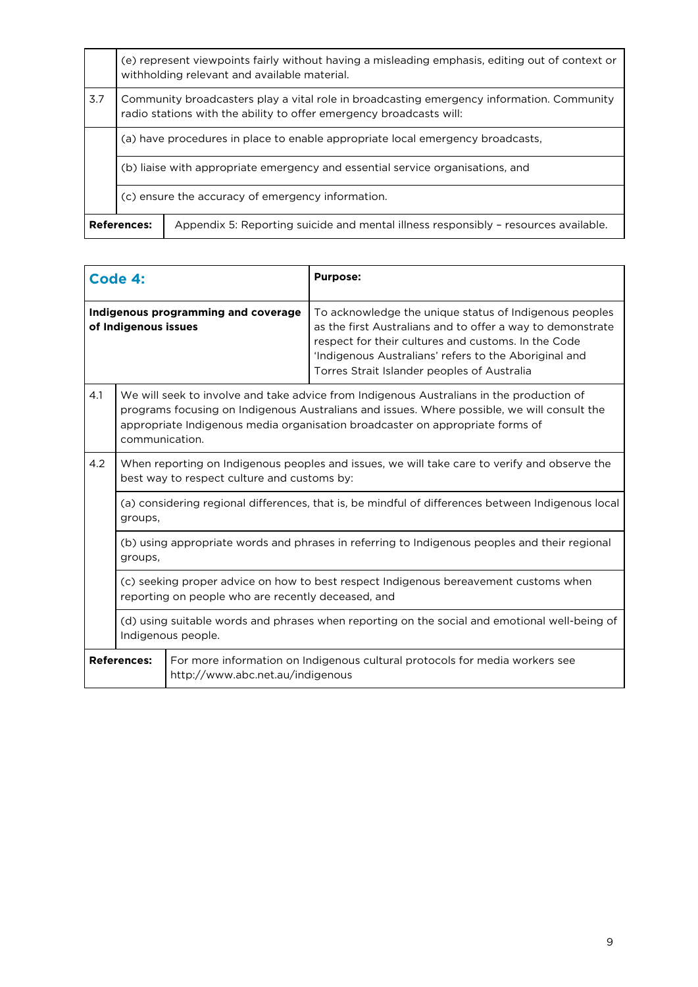|                                                                                | (e) represent viewpoints fairly without having a misleading emphasis, editing out of context or<br>withholding relevant and available material.                  |                                                                                     |
|--------------------------------------------------------------------------------|------------------------------------------------------------------------------------------------------------------------------------------------------------------|-------------------------------------------------------------------------------------|
| 3.7                                                                            | Community broadcasters play a vital role in broadcasting emergency information. Community<br>radio stations with the ability to offer emergency broadcasts will: |                                                                                     |
|                                                                                | (a) have procedures in place to enable appropriate local emergency broadcasts,                                                                                   |                                                                                     |
| (b) liaise with appropriate emergency and essential service organisations, and |                                                                                                                                                                  |                                                                                     |
|                                                                                | (c) ensure the accuracy of emergency information.                                                                                                                |                                                                                     |
| <b>References:</b>                                                             |                                                                                                                                                                  | Appendix 5: Reporting suicide and mental illness responsibly - resources available. |

| Code 4:                                                                                                                                                                                                                                                |                                                                                                                                                                                                                                                                                            |                                  | <b>Purpose:</b>                                                                                                                                                                                                                                                                     |
|--------------------------------------------------------------------------------------------------------------------------------------------------------------------------------------------------------------------------------------------------------|--------------------------------------------------------------------------------------------------------------------------------------------------------------------------------------------------------------------------------------------------------------------------------------------|----------------------------------|-------------------------------------------------------------------------------------------------------------------------------------------------------------------------------------------------------------------------------------------------------------------------------------|
| Indigenous programming and coverage<br>of Indigenous issues                                                                                                                                                                                            |                                                                                                                                                                                                                                                                                            |                                  | To acknowledge the unique status of Indigenous peoples<br>as the first Australians and to offer a way to demonstrate<br>respect for their cultures and customs. In the Code<br>'Indigenous Australians' refers to the Aboriginal and<br>Torres Strait Islander peoples of Australia |
| 4.1                                                                                                                                                                                                                                                    | We will seek to involve and take advice from Indigenous Australians in the production of<br>programs focusing on Indigenous Australians and issues. Where possible, we will consult the<br>appropriate Indigenous media organisation broadcaster on appropriate forms of<br>communication. |                                  |                                                                                                                                                                                                                                                                                     |
| 4.2                                                                                                                                                                                                                                                    | When reporting on Indigenous peoples and issues, we will take care to verify and observe the<br>best way to respect culture and customs by:                                                                                                                                                |                                  |                                                                                                                                                                                                                                                                                     |
|                                                                                                                                                                                                                                                        | (a) considering regional differences, that is, be mindful of differences between Indigenous local<br>groups,                                                                                                                                                                               |                                  |                                                                                                                                                                                                                                                                                     |
| (b) using appropriate words and phrases in referring to Indigenous peoples and their regional<br>groups,<br>(c) seeking proper advice on how to best respect Indigenous bereavement customs when<br>reporting on people who are recently deceased, and |                                                                                                                                                                                                                                                                                            |                                  |                                                                                                                                                                                                                                                                                     |
|                                                                                                                                                                                                                                                        |                                                                                                                                                                                                                                                                                            |                                  |                                                                                                                                                                                                                                                                                     |
|                                                                                                                                                                                                                                                        | (d) using suitable words and phrases when reporting on the social and emotional well-being of<br>Indigenous people.                                                                                                                                                                        |                                  |                                                                                                                                                                                                                                                                                     |
| <b>References:</b>                                                                                                                                                                                                                                     |                                                                                                                                                                                                                                                                                            | http://www.abc.net.au/indigenous | For more information on Indigenous cultural protocols for media workers see                                                                                                                                                                                                         |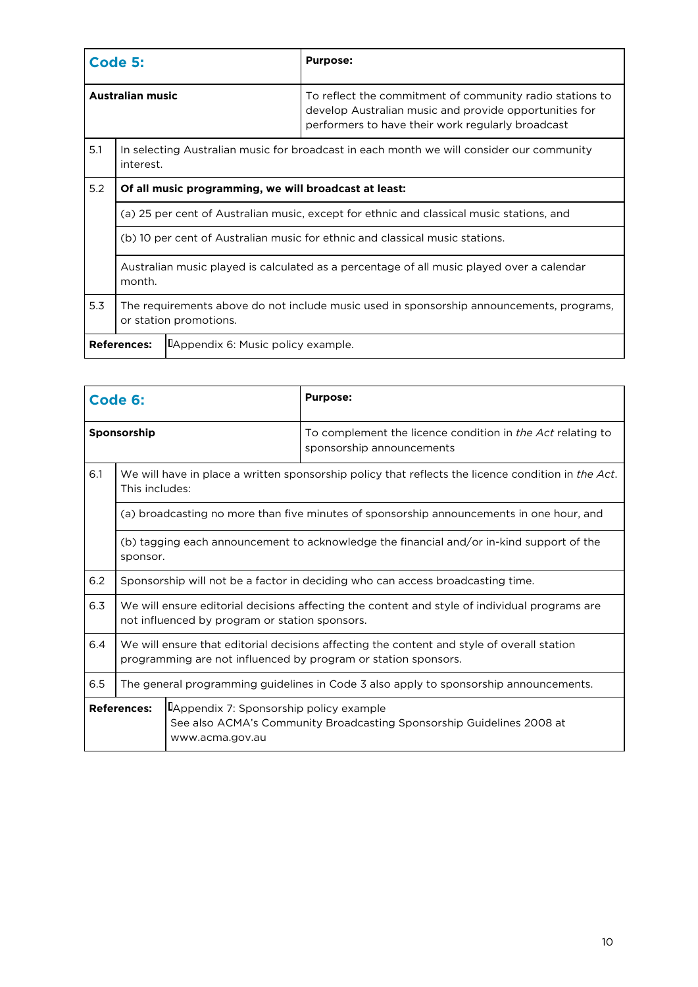| Code 5:                                                  |                                                                                                                    |  | <b>Purpose:</b>                                                                                                                                                         |
|----------------------------------------------------------|--------------------------------------------------------------------------------------------------------------------|--|-------------------------------------------------------------------------------------------------------------------------------------------------------------------------|
| <b>Australian music</b>                                  |                                                                                                                    |  | To reflect the commitment of community radio stations to<br>develop Australian music and provide opportunities for<br>performers to have their work regularly broadcast |
| 5.1                                                      | In selecting Australian music for broadcast in each month we will consider our community<br>interest.              |  |                                                                                                                                                                         |
| 5.2                                                      | Of all music programming, we will broadcast at least:                                                              |  |                                                                                                                                                                         |
|                                                          | (a) 25 per cent of Australian music, except for ethnic and classical music stations, and                           |  |                                                                                                                                                                         |
|                                                          | (b) 10 per cent of Australian music for ethnic and classical music stations.                                       |  |                                                                                                                                                                         |
|                                                          | Australian music played is calculated as a percentage of all music played over a calendar<br>month.                |  |                                                                                                                                                                         |
| 5.3                                                      | The requirements above do not include music used in sponsorship announcements, programs,<br>or station promotions. |  |                                                                                                                                                                         |
| LAppendix 6: Music policy example.<br><b>References:</b> |                                                                                                                    |  |                                                                                                                                                                         |

| Code 6:                                                                          |                                                                                                                                                              |                                                                                                                      | <b>Purpose:</b>                                                                                |  |
|----------------------------------------------------------------------------------|--------------------------------------------------------------------------------------------------------------------------------------------------------------|----------------------------------------------------------------------------------------------------------------------|------------------------------------------------------------------------------------------------|--|
| Sponsorship                                                                      |                                                                                                                                                              |                                                                                                                      | To complement the licence condition in <i>the Act</i> relating to<br>sponsorship announcements |  |
| 6.1                                                                              |                                                                                                                                                              | We will have in place a written sponsorship policy that reflects the licence condition in the Act.<br>This includes: |                                                                                                |  |
|                                                                                  |                                                                                                                                                              |                                                                                                                      | (a) broadcasting no more than five minutes of sponsorship announcements in one hour, and       |  |
|                                                                                  | (b) tagging each announcement to acknowledge the financial and/or in-kind support of the<br>sponsor.                                                         |                                                                                                                      |                                                                                                |  |
| 6.2                                                                              | Sponsorship will not be a factor in deciding who can access broadcasting time.                                                                               |                                                                                                                      |                                                                                                |  |
| 6.3                                                                              | We will ensure editorial decisions affecting the content and style of individual programs are<br>not influenced by program or station sponsors.              |                                                                                                                      |                                                                                                |  |
| 6.4                                                                              | We will ensure that editorial decisions affecting the content and style of overall station<br>programming are not influenced by program or station sponsors. |                                                                                                                      |                                                                                                |  |
| 6.5                                                                              | The general programming guidelines in Code 3 also apply to sponsorship announcements.                                                                        |                                                                                                                      |                                                                                                |  |
| <b>References:</b><br>LAppendix 7: Sponsorship policy example<br>www.acma.gov.au |                                                                                                                                                              |                                                                                                                      | See also ACMA's Community Broadcasting Sponsorship Guidelines 2008 at                          |  |